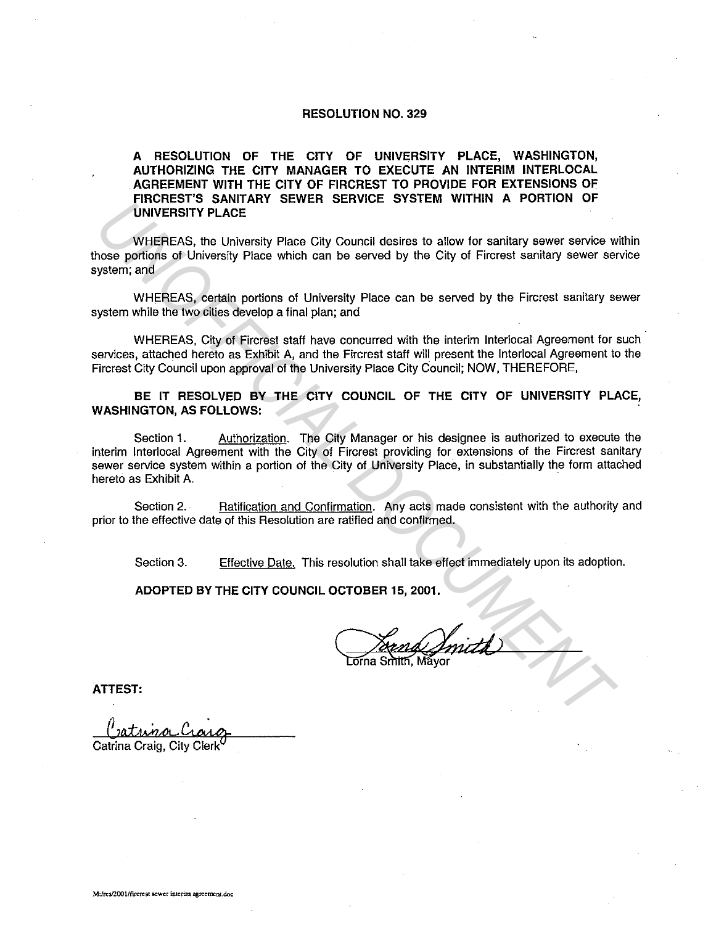## **RESOLUTION NO. 329**

## **A RESOLUTION OF THE CITY OF UNIVERSITY PLACE, WASHINGTON, AUTHORIZING THE CITY MANAGER TO EXECUTE AN INTERIM INTERLOCAL AGREEMENT WITH THE CITY OF FIRCREST TO PROVIDE FOR EXTENSIONS OF FIRCREST'S SANITARY SEWER SERVICE SYSTEM WITHIN A PORTION OF UNIVERSITY PLACE**

WHEREAS, the University Place City Council desires to allow for sanitary sewer service within those portions of University Place which can be served by the City of Fircrest sanitary sewer service system; and

WHEREAS, certain portions of University Place can be served by the Fircrest sanitary sewer system while the two cities develop a final plan; and

WHEREAS, City of Fircrest staff have concurred with the interim lnterlocal Agreement for such services, attached hereto as Exhibit A, and the Fircrest staff will present the lnterlocal Agreement to the Fircrest City Council upon approval of the University Place City Council; NOW, THEREFORE,

**BE IT RESOLVED BY THE CITY COUNCIL OF THE CITY OF UNIVERSITY PLACE, WASHINGTON, AS FOLLOWS:** 

Section 1. Authorization. The City Manager or his designee is authorized to execute the interim lnterlocal Agreement with the City of Fircrest providing for extensions of the Fircrest sanitary sewer service system within a portion of the City of University Place, in substantially the form attached hereto as Exhibit A. **UNIVEREAS, the University Place City Council desires to allow for sanitary sower service where the WHEREAS, the University Place City Council desires to allow for sanitary sower service worse portions of University Place** 

Section 2. Ratification and Confirmation. Any acts made consistent with the authority and prior to the effective date of this Resolution are ratified and confirmed.

Section 3. Effective Date. This resolution shall take effect immediately upon its adoption.

**ADOPTED BY THE CITY COUNCIL OCTOBER 15, 2001.** 

**ATTEST:** 

Catrina Craig, City Clerk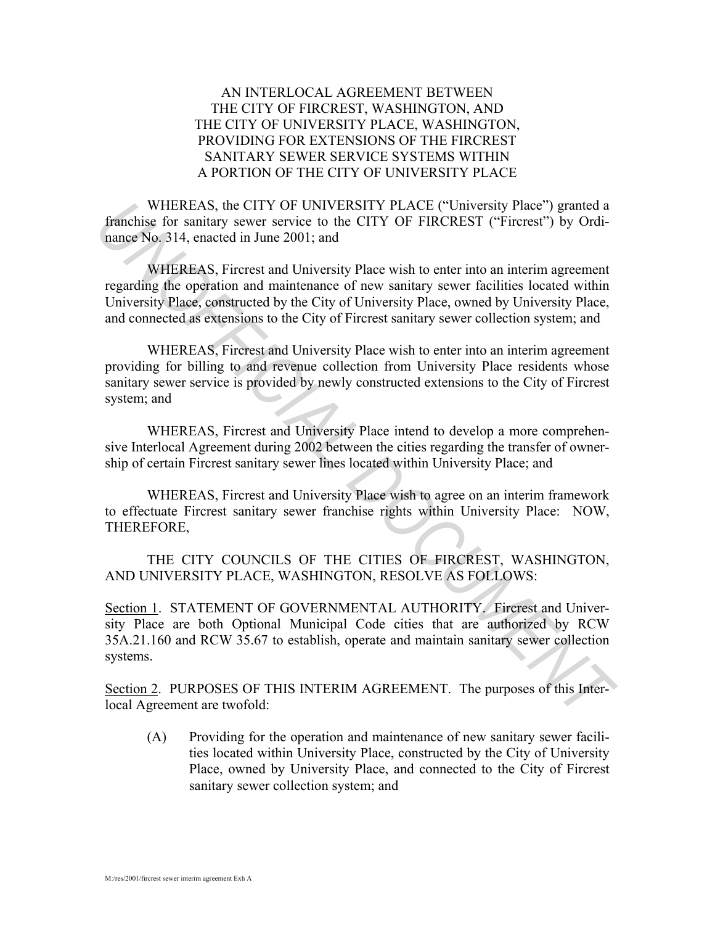## AN INTERLOCAL AGREEMENT BETWEEN THE CITY OF FIRCREST, WASHINGTON, AND THE CITY OF UNIVERSITY PLACE, WASHINGTON, PROVIDING FOR EXTENSIONS OF THE FIRCREST SANITARY SEWER SERVICE SYSTEMS WITHIN A PORTION OF THE CITY OF UNIVERSITY PLACE

 WHEREAS, the CITY OF UNIVERSITY PLACE ("University Place") granted a franchise for sanitary sewer service to the CITY OF FIRCREST ("Fircrest") by Ordinance No. 314, enacted in June 2001; and

 WHEREAS, Fircrest and University Place wish to enter into an interim agreement regarding the operation and maintenance of new sanitary sewer facilities located within University Place, constructed by the City of University Place, owned by University Place, and connected as extensions to the City of Fircrest sanitary sewer collection system; and **WHEREAS, Fierry OF UNIVERSITY PLACE ("University Place") granted a<br>
<b>Encycle of the CITY OF EIRCREST** ("Firerest") by Ordinancial of the station years service to the CITY OF EIRCREST ("Firerest") by Ordinance No. 314, ena

 WHEREAS, Fircrest and University Place wish to enter into an interim agreement providing for billing to and revenue collection from University Place residents whose sanitary sewer service is provided by newly constructed extensions to the City of Fircrest system; and

 WHEREAS, Fircrest and University Place intend to develop a more comprehensive Interlocal Agreement during 2002 between the cities regarding the transfer of ownership of certain Fircrest sanitary sewer lines located within University Place; and

 WHEREAS, Fircrest and University Place wish to agree on an interim framework to effectuate Fircrest sanitary sewer franchise rights within University Place: NOW, THEREFORE,

 THE CITY COUNCILS OF THE CITIES OF FIRCREST, WASHINGTON, AND UNIVERSITY PLACE, WASHINGTON, RESOLVE AS FOLLOWS:

Section 1. STATEMENT OF GOVERNMENTAL AUTHORITY. Fircrest and University Place are both Optional Municipal Code cities that are authorized by RCW 35A.21.160 and RCW 35.67 to establish, operate and maintain sanitary sewer collection systems.

Section 2. PURPOSES OF THIS INTERIM AGREEMENT. The purposes of this Interlocal Agreement are twofold:

(A) Providing for the operation and maintenance of new sanitary sewer facilities located within University Place, constructed by the City of University Place, owned by University Place, and connected to the City of Fircrest sanitary sewer collection system; and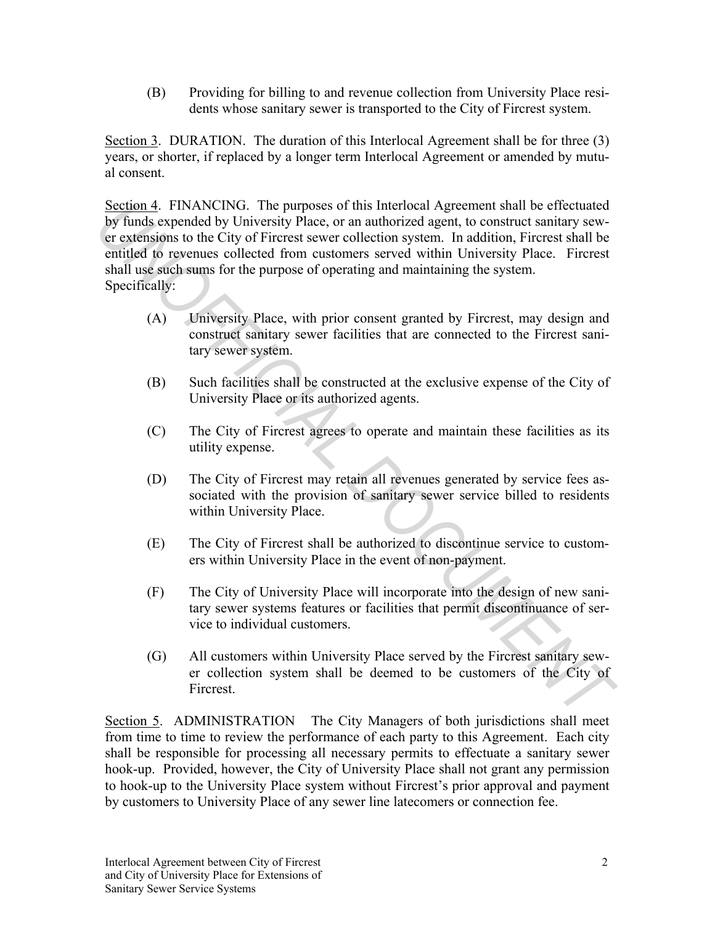(B) Providing for billing to and revenue collection from University Place residents whose sanitary sewer is transported to the City of Fircrest system.

Section 3. DURATION. The duration of this Interlocal Agreement shall be for three (3) years, or shorter, if replaced by a longer term Interlocal Agreement or amended by mutual consent.

Section 4. FINANCING. The purposes of this Interlocal Agreement shall be effectuated by funds expended by University Place, or an authorized agent, to construct sanitary sewer extensions to the City of Fircrest sewer collection system. In addition, Fircrest shall be entitled to revenues collected from customers served within University Place. Fircrest shall use such sums for the purpose of operating and maintaining the system. Specifically: Section 4. FINANCITOR The purposes of this Interlocal Agreement shall be effectuated<br> *University Place,* or an authorized agent, to construct sanitary sever<br>
or generalisms to the City of Firerest sewer collection system.

- (A) University Place, with prior consent granted by Fircrest, may design and construct sanitary sewer facilities that are connected to the Fircrest sanitary sewer system.
- (B) Such facilities shall be constructed at the exclusive expense of the City of University Place or its authorized agents.
- (C) The City of Fircrest agrees to operate and maintain these facilities as its utility expense.
- (D) The City of Fircrest may retain all revenues generated by service fees associated with the provision of sanitary sewer service billed to residents within University Place.
- (E) The City of Fircrest shall be authorized to discontinue service to customers within University Place in the event of non-payment.
- (F) The City of University Place will incorporate into the design of new sanitary sewer systems features or facilities that permit discontinuance of service to individual customers.
- (G) All customers within University Place served by the Fircrest sanitary sewer collection system shall be deemed to be customers of the City of Fircrest.

Section 5. ADMINISTRATION The City Managers of both jurisdictions shall meet from time to time to review the performance of each party to this Agreement. Each city shall be responsible for processing all necessary permits to effectuate a sanitary sewer hook-up. Provided, however, the City of University Place shall not grant any permission to hook-up to the University Place system without Fircrest's prior approval and payment by customers to University Place of any sewer line latecomers or connection fee.